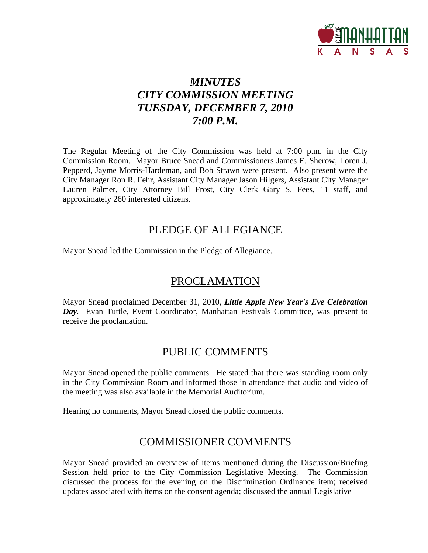

# *MINUTES CITY COMMISSION MEETING TUESDAY, DECEMBER 7, 2010 7:00 P.M.*

The Regular Meeting of the City Commission was held at 7:00 p.m. in the City Commission Room. Mayor Bruce Snead and Commissioners James E. Sherow, Loren J. Pepperd, Jayme Morris-Hardeman, and Bob Strawn were present. Also present were the City Manager Ron R. Fehr, Assistant City Manager Jason Hilgers, Assistant City Manager Lauren Palmer, City Attorney Bill Frost, City Clerk Gary S. Fees, 11 staff, and approximately 260 interested citizens.

## PLEDGE OF ALLEGIANCE

Mayor Snead led the Commission in the Pledge of Allegiance.

# PROCLAMATION

Mayor Snead proclaimed December 31, 2010, *Little Apple New Year's Eve Celebration Day.* Evan Tuttle, Event Coordinator, Manhattan Festivals Committee, was present to receive the proclamation.

# PUBLIC COMMENTS

Mayor Snead opened the public comments. He stated that there was standing room only in the City Commission Room and informed those in attendance that audio and video of the meeting was also available in the Memorial Auditorium.

Hearing no comments, Mayor Snead closed the public comments.

# COMMISSIONER COMMENTS

Mayor Snead provided an overview of items mentioned during the Discussion/Briefing Session held prior to the City Commission Legislative Meeting. The Commission discussed the process for the evening on the Discrimination Ordinance item; received updates associated with items on the consent agenda; discussed the annual Legislative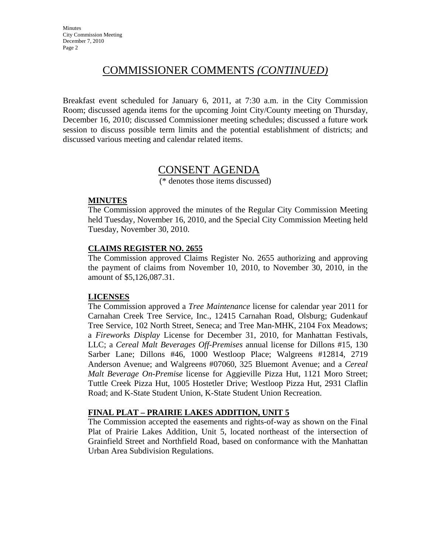# COMMISSIONER COMMENTS *(CONTINUED)*

Breakfast event scheduled for January 6, 2011, at 7:30 a.m. in the City Commission Room; discussed agenda items for the upcoming Joint City/County meeting on Thursday, December 16, 2010; discussed Commissioner meeting schedules; discussed a future work session to discuss possible term limits and the potential establishment of districts; and discussed various meeting and calendar related items.

## CONSENT AGENDA

(\* denotes those items discussed)

#### **MINUTES**

The Commission approved the minutes of the Regular City Commission Meeting held Tuesday, November 16, 2010, and the Special City Commission Meeting held Tuesday, November 30, 2010.

#### **CLAIMS REGISTER NO. 2655**

The Commission approved Claims Register No. 2655 authorizing and approving the payment of claims from November 10, 2010, to November 30, 2010, in the amount of \$5,126,087.31.

### **LICENSES**

The Commission approved a *Tree Maintenance* license for calendar year 2011 for Carnahan Creek Tree Service, Inc., 12415 Carnahan Road, Olsburg; Gudenkauf Tree Service, 102 North Street, Seneca; and Tree Man-MHK, 2104 Fox Meadows; a *Fireworks Display* License for December 31, 2010, for Manhattan Festivals, LLC; a *Cereal Malt Beverages Off-Premises* annual license for Dillons #15, 130 Sarber Lane; Dillons #46, 1000 Westloop Place; Walgreens #12814, 2719 Anderson Avenue; and Walgreens #07060, 325 Bluemont Avenue; and a *Cereal Malt Beverage On-Premise* license for Aggieville Pizza Hut, 1121 Moro Street; Tuttle Creek Pizza Hut, 1005 Hostetler Drive; Westloop Pizza Hut, 2931 Claflin Road; and K-State Student Union, K-State Student Union Recreation.

### **FINAL PLAT – PRAIRIE LAKES ADDITION, UNIT 5**

The Commission accepted the easements and rights-of-way as shown on the Final Plat of Prairie Lakes Addition, Unit 5, located northeast of the intersection of Grainfield Street and Northfield Road, based on conformance with the Manhattan Urban Area Subdivision Regulations.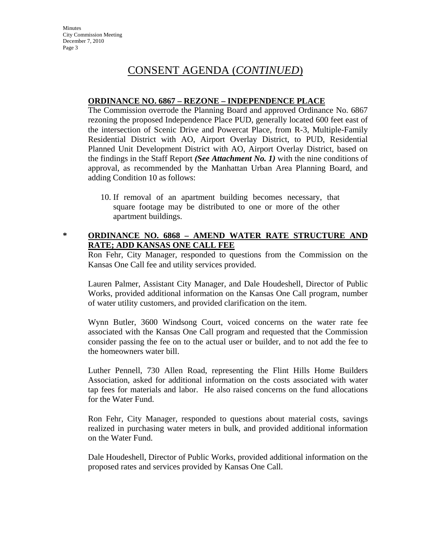#### **ORDINANCE NO. 6867 – REZONE – INDEPENDENCE PLACE**

The Commission overrode the Planning Board and approved Ordinance No. 6867 rezoning the proposed Independence Place PUD, generally located 600 feet east of the intersection of Scenic Drive and Powercat Place, from R-3, Multiple-Family Residential District with AO, Airport Overlay District, to PUD, Residential Planned Unit Development District with AO, Airport Overlay District, based on the findings in the Staff Report *(See Attachment No. 1)* with the nine conditions of approval, as recommended by the Manhattan Urban Area Planning Board, and adding Condition 10 as follows:

10. If removal of an apartment building becomes necessary, that square footage may be distributed to one or more of the other apartment buildings.

### **\* ORDINANCE NO. 6868 – AMEND WATER RATE STRUCTURE AND RATE; ADD KANSAS ONE CALL FEE**

Ron Fehr, City Manager, responded to questions from the Commission on the Kansas One Call fee and utility services provided.

Lauren Palmer, Assistant City Manager, and Dale Houdeshell, Director of Public Works, provided additional information on the Kansas One Call program, number of water utility customers, and provided clarification on the item.

Wynn Butler, 3600 Windsong Court, voiced concerns on the water rate fee associated with the Kansas One Call program and requested that the Commission consider passing the fee on to the actual user or builder, and to not add the fee to the homeowners water bill.

Luther Pennell, 730 Allen Road, representing the Flint Hills Home Builders Association, asked for additional information on the costs associated with water tap fees for materials and labor. He also raised concerns on the fund allocations for the Water Fund.

Ron Fehr, City Manager, responded to questions about material costs, savings realized in purchasing water meters in bulk, and provided additional information on the Water Fund.

Dale Houdeshell, Director of Public Works, provided additional information on the proposed rates and services provided by Kansas One Call.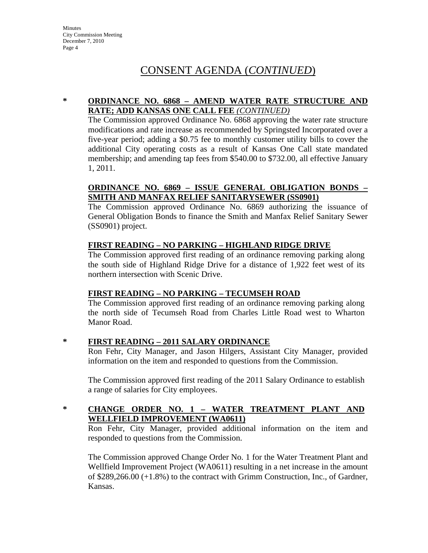### **\* ORDINANCE NO. 6868 – AMEND WATER RATE STRUCTURE AND RATE; ADD KANSAS ONE CALL FEE** *(CONTINUED)*

The Commission approved Ordinance No. 6868 approving the water rate structure modifications and rate increase as recommended by Springsted Incorporated over a five-year period; adding a \$0.75 fee to monthly customer utility bills to cover the additional City operating costs as a result of Kansas One Call state mandated membership; and amending tap fees from \$540.00 to \$732.00, all effective January 1, 2011.

### **ORDINANCE NO. 6869 – ISSUE GENERAL OBLIGATION BONDS – SMITH AND MANFAX RELIEF SANITARYSEWER (SS0901)**

The Commission approved Ordinance No. 6869 authorizing the issuance of General Obligation Bonds to finance the Smith and Manfax Relief Sanitary Sewer (SS0901) project.

### **FIRST READING – NO PARKING – HIGHLAND RIDGE DRIVE**

The Commission approved first reading of an ordinance removing parking along the south side of Highland Ridge Drive for a distance of 1,922 feet west of its northern intersection with Scenic Drive.

## **FIRST READING – NO PARKING – TECUMSEH ROAD**

The Commission approved first reading of an ordinance removing parking along the north side of Tecumseh Road from Charles Little Road west to Wharton Manor Road.

**\* FIRST READING – 2011 SALARY ORDINANCE**

Ron Fehr, City Manager, and Jason Hilgers, Assistant City Manager, provided information on the item and responded to questions from the Commission.

The Commission approved first reading of the 2011 Salary Ordinance to establish a range of salaries for City employees.

### **\* CHANGE ORDER NO. 1 – WATER TREATMENT PLANT AND WELLFIELD IMPROVEMENT (WA0611)**

Ron Fehr, City Manager, provided additional information on the item and responded to questions from the Commission.

The Commission approved Change Order No. 1 for the Water Treatment Plant and Wellfield Improvement Project (WA0611) resulting in a net increase in the amount of \$289,266.00 (+1.8%) to the contract with Grimm Construction, Inc., of Gardner, Kansas.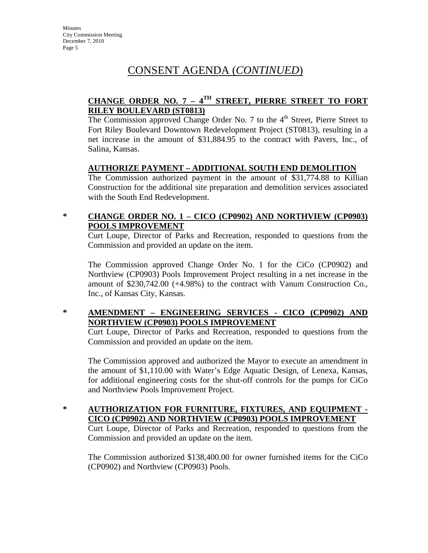## **CHANGE ORDER NO. 7 – 4TH STREET, PIERRE STREET TO FORT RILEY BOULEVARD (ST0813)**

The Commission approved Change Order No. 7 to the  $4<sup>th</sup>$  Street, Pierre Street to Fort Riley Boulevard Downtown Redevelopment Project (ST0813), resulting in a net increase in the amount of \$31,884.95 to the contract with Pavers, Inc., of Salina, Kansas.

### **AUTHORIZE PAYMENT – ADDITIONAL SOUTH END DEMOLITION**

The Commission authorized payment in the amount of \$31,774.88 to Killian Construction for the additional site preparation and demolition services associated with the South End Redevelopment.

### **\* CHANGE ORDER NO. 1 – CICO (CP0902) AND NORTHVIEW (CP0903) POOLS IMPROVEMENT**

Curt Loupe, Director of Parks and Recreation, responded to questions from the Commission and provided an update on the item.

The Commission approved Change Order No. 1 for the CiCo (CP0902) and Northview (CP0903) Pools Improvement Project resulting in a net increase in the amount of \$230,742.00 (+4.98%) to the contract with Vanum Construction Co., Inc., of Kansas City, Kansas.

## **\* AMENDMENT – ENGINEERING SERVICES - CICO (CP0902) AND NORTHVIEW (CP0903) POOLS IMPROVEMENT**

Curt Loupe, Director of Parks and Recreation, responded to questions from the Commission and provided an update on the item.

The Commission approved and authorized the Mayor to execute an amendment in the amount of \$1,110.00 with Water's Edge Aquatic Design, of Lenexa, Kansas, for additional engineering costs for the shut-off controls for the pumps for CiCo and Northview Pools Improvement Project.

**\* AUTHORIZATION FOR FURNITURE, FIXTURES, AND EQUIPMENT - CICO (CP0902) AND NORTHVIEW (CP0903) POOLS IMPROVEMENT**

Curt Loupe, Director of Parks and Recreation, responded to questions from the Commission and provided an update on the item.

The Commission authorized \$138,400.00 for owner furnished items for the CiCo (CP0902) and Northview (CP0903) Pools.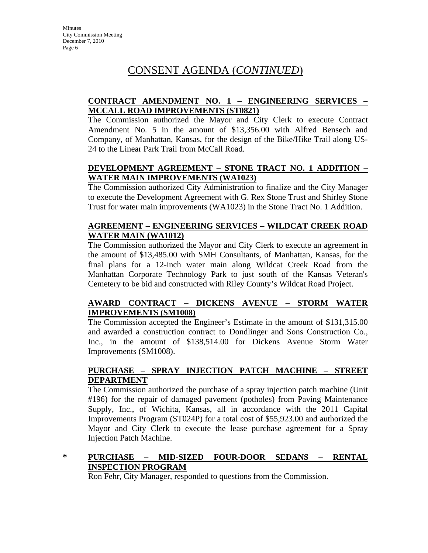### **CONTRACT AMENDMENT NO. 1 – ENGINEERING SERVICES – MCCALL ROAD IMPROVEMENTS (ST0821)**

The Commission authorized the Mayor and City Clerk to execute Contract Amendment No. 5 in the amount of \$13,356.00 with Alfred Bensech and Company, of Manhattan, Kansas, for the design of the Bike/Hike Trail along US-24 to the Linear Park Trail from McCall Road.

### **DEVELOPMENT AGREEMENT – STONE TRACT NO. 1 ADDITION – WATER MAIN IMPROVEMENTS (WA1023)**

The Commission authorized City Administration to finalize and the City Manager to execute the Development Agreement with G. Rex Stone Trust and Shirley Stone Trust for water main improvements (WA1023) in the Stone Tract No. 1 Addition.

### **AGREEMENT – ENGINEERING SERVICES – WILDCAT CREEK ROAD WATER MAIN (WA1012)**

The Commission authorized the Mayor and City Clerk to execute an agreement in the amount of \$13,485.00 with SMH Consultants, of Manhattan, Kansas, for the final plans for a 12-inch water main along Wildcat Creek Road from the Manhattan Corporate Technology Park to just south of the Kansas Veteran's Cemetery to be bid and constructed with Riley County's Wildcat Road Project.

### **AWARD CONTRACT – DICKENS AVENUE – STORM WATER IMPROVEMENTS (SM1008)**

The Commission accepted the Engineer's Estimate in the amount of \$131,315.00 and awarded a construction contract to Dondlinger and Sons Construction Co., Inc., in the amount of \$138,514.00 for Dickens Avenue Storm Water Improvements (SM1008).

### **PURCHASE – SPRAY INJECTION PATCH MACHINE – STREET DEPARTMENT**

The Commission authorized the purchase of a spray injection patch machine (Unit #196) for the repair of damaged pavement (potholes) from Paving Maintenance Supply, Inc., of Wichita, Kansas, all in accordance with the 2011 Capital Improvements Program (ST024P) for a total cost of \$55,923.00 and authorized the Mayor and City Clerk to execute the lease purchase agreement for a Spray Injection Patch Machine.

### **\* PURCHASE – MID-SIZED FOUR-DOOR SEDANS – RENTAL INSPECTION PROGRAM**

Ron Fehr, City Manager, responded to questions from the Commission.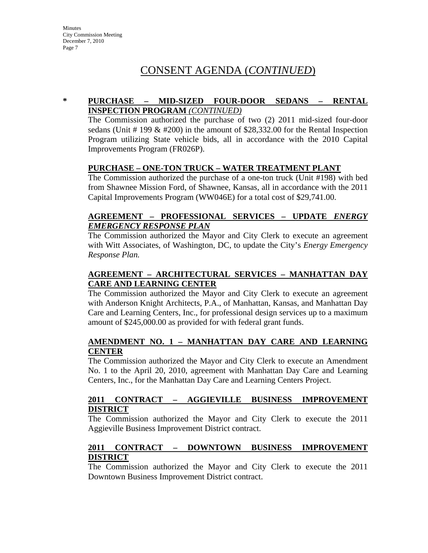### **\* PURCHASE – MID-SIZED FOUR-DOOR SEDANS – RENTAL INSPECTION PROGRAM** *(CONTINUED)*

The Commission authorized the purchase of two (2) 2011 mid-sized four-door sedans (Unit # 199  $& 4200$ ) in the amount of \$28,332.00 for the Rental Inspection Program utilizing State vehicle bids, all in accordance with the 2010 Capital Improvements Program (FR026P).

### **PURCHASE – ONE-TON TRUCK – WATER TREATMENT PLANT**

The Commission authorized the purchase of a one-ton truck (Unit #198) with bed from Shawnee Mission Ford, of Shawnee, Kansas, all in accordance with the 2011 Capital Improvements Program (WW046E) for a total cost of \$29,741.00.

### **AGREEMENT – PROFESSIONAL SERVICES – UPDATE** *ENERGY EMERGENCY RESPONSE PLAN*

The Commission authorized the Mayor and City Clerk to execute an agreement with Witt Associates, of Washington, DC, to update the City's *Energy Emergency Response Plan.*

### **AGREEMENT – ARCHITECTURAL SERVICES – MANHATTAN DAY CARE AND LEARNING CENTER**

The Commission authorized the Mayor and City Clerk to execute an agreement with Anderson Knight Architects, P.A., of Manhattan, Kansas, and Manhattan Day Care and Learning Centers, Inc., for professional design services up to a maximum amount of \$245,000.00 as provided for with federal grant funds.

### **AMENDMENT NO. 1 – MANHATTAN DAY CARE AND LEARNING CENTER**

The Commission authorized the Mayor and City Clerk to execute an Amendment No. 1 to the April 20, 2010, agreement with Manhattan Day Care and Learning Centers, Inc., for the Manhattan Day Care and Learning Centers Project.

### **2011 CONTRACT – AGGIEVILLE BUSINESS IMPROVEMENT DISTRICT**

The Commission authorized the Mayor and City Clerk to execute the 2011 Aggieville Business Improvement District contract.

### **2011 CONTRACT – DOWNTOWN BUSINESS IMPROVEMENT DISTRICT**

The Commission authorized the Mayor and City Clerk to execute the 2011 Downtown Business Improvement District contract.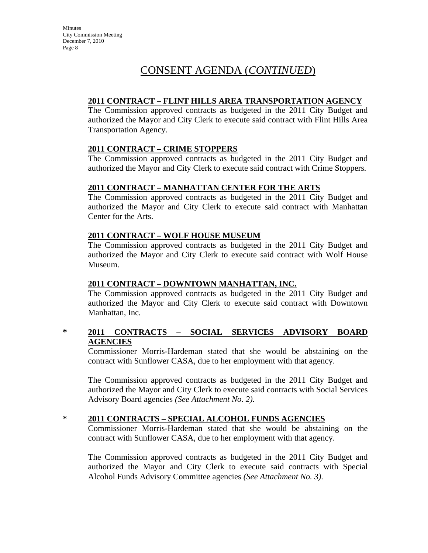**Minutes** City Commission Meeting December 7, 2010 Page 8

# CONSENT AGENDA (*CONTINUED*)

### **2011 CONTRACT – FLINT HILLS AREA TRANSPORTATION AGENCY**

The Commission approved contracts as budgeted in the 2011 City Budget and authorized the Mayor and City Clerk to execute said contract with Flint Hills Area Transportation Agency.

#### **2011 CONTRACT – CRIME STOPPERS**

The Commission approved contracts as budgeted in the 2011 City Budget and authorized the Mayor and City Clerk to execute said contract with Crime Stoppers*.*

#### **2011 CONTRACT – MANHATTAN CENTER FOR THE ARTS**

The Commission approved contracts as budgeted in the 2011 City Budget and authorized the Mayor and City Clerk to execute said contract with Manhattan Center for the Arts.

#### **2011 CONTRACT – WOLF HOUSE MUSEUM**

The Commission approved contracts as budgeted in the 2011 City Budget and authorized the Mayor and City Clerk to execute said contract with Wolf House Museum.

#### **2011 CONTRACT – DOWNTOWN MANHATTAN, INC.**

The Commission approved contracts as budgeted in the 2011 City Budget and authorized the Mayor and City Clerk to execute said contract with Downtown Manhattan, Inc*.*

### **\* 2011 CONTRACTS – SOCIAL SERVICES ADVISORY BOARD AGENCIES**

Commissioner Morris-Hardeman stated that she would be abstaining on the contract with Sunflower CASA, due to her employment with that agency.

The Commission approved contracts as budgeted in the 2011 City Budget and authorized the Mayor and City Clerk to execute said contracts with Social Services Advisory Board agencies *(See Attachment No. 2).*

### **\* 2011 CONTRACTS – SPECIAL ALCOHOL FUNDS AGENCIES**

Commissioner Morris-Hardeman stated that she would be abstaining on the contract with Sunflower CASA, due to her employment with that agency.

The Commission approved contracts as budgeted in the 2011 City Budget and authorized the Mayor and City Clerk to execute said contracts with Special Alcohol Funds Advisory Committee agencies *(See Attachment No. 3)*.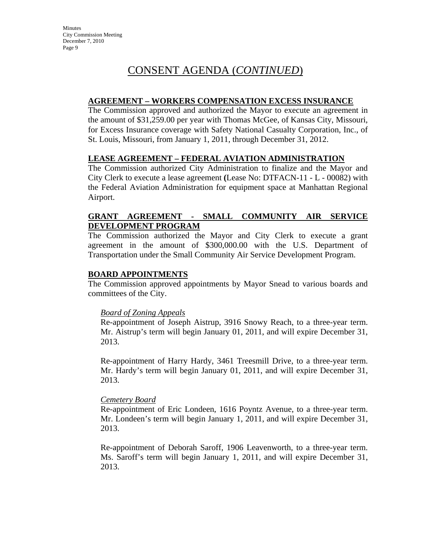### **AGREEMENT – WORKERS COMPENSATION EXCESS INSURANCE**

The Commission approved and authorized the Mayor to execute an agreement in the amount of \$31,259.00 per year with Thomas McGee, of Kansas City, Missouri, for Excess Insurance coverage with Safety National Casualty Corporation, Inc., of St. Louis, Missouri, from January 1, 2011, through December 31, 2012.

### **LEASE AGREEMENT – FEDERAL AVIATION ADMINISTRATION**

The Commission authorized City Administration to finalize and the Mayor and City Clerk to execute a lease agreement **(**Lease No: DTFACN-11 - L - 00082) with the Federal Aviation Administration for equipment space at Manhattan Regional Airport.

#### **GRANT AGREEMENT - SMALL COMMUNITY AIR SERVICE DEVELOPMENT PROGRAM**

The Commission authorized the Mayor and City Clerk to execute a grant agreement in the amount of \$300,000.00 with the U.S. Department of Transportation under the Small Community Air Service Development Program.

### **BOARD APPOINTMENTS**

The Commission approved appointments by Mayor Snead to various boards and committees of the City.

### *Board of Zoning Appeals*

Re-appointment of Joseph Aistrup, 3916 Snowy Reach, to a three-year term. Mr. Aistrup's term will begin January 01, 2011, and will expire December 31, 2013.

Re-appointment of Harry Hardy, 3461 Treesmill Drive, to a three-year term. Mr. Hardy's term will begin January 01, 2011, and will expire December 31, 2013.

### *Cemetery Board*

Re-appointment of Eric Londeen, 1616 Poyntz Avenue, to a three-year term. Mr. Londeen's term will begin January 1, 2011, and will expire December 31, 2013.

Re-appointment of Deborah Saroff, 1906 Leavenworth, to a three-year term. Ms. Saroff's term will begin January 1, 2011, and will expire December 31, 2013.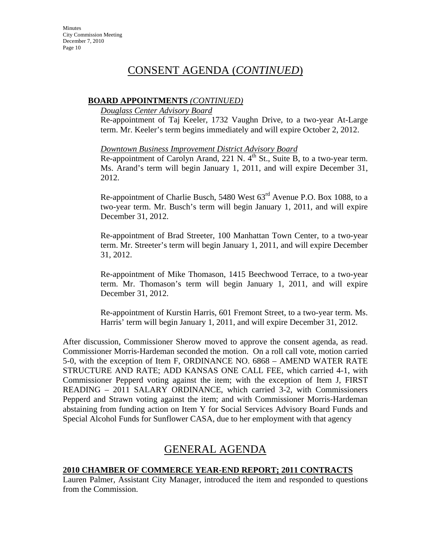#### **BOARD APPOINTMENTS** *(CONTINUED)*

## *Douglass Center Advisory Board*

Re-appointment of Taj Keeler, 1732 Vaughn Drive, to a two-year At-Large term. Mr. Keeler's term begins immediately and will expire October 2, 2012.

#### *Downtown Business Improvement District Advisory Board*

Re-appointment of Carolyn Arand, 221 N.  $4<sup>th</sup>$  St., Suite B, to a two-year term. Ms. Arand's term will begin January 1, 2011, and will expire December 31, 2012.

Re-appointment of Charlie Busch,  $5480$  West  $63<sup>rd</sup>$  Avenue P.O. Box 1088, to a two-year term. Mr. Busch's term will begin January 1, 2011, and will expire December 31, 2012.

Re-appointment of Brad Streeter, 100 Manhattan Town Center, to a two-year term. Mr. Streeter's term will begin January 1, 2011, and will expire December 31, 2012.

Re-appointment of Mike Thomason, 1415 Beechwood Terrace, to a two-year term. Mr. Thomason's term will begin January 1, 2011, and will expire December 31, 2012.

Re-appointment of Kurstin Harris, 601 Fremont Street, to a two-year term. Ms. Harris' term will begin January 1, 2011, and will expire December 31, 2012.

After discussion, Commissioner Sherow moved to approve the consent agenda, as read. Commissioner Morris-Hardeman seconded the motion. On a roll call vote, motion carried 5-0, with the exception of Item F, ORDINANCE NO. 6868 – AMEND WATER RATE STRUCTURE AND RATE; ADD KANSAS ONE CALL FEE, which carried 4-1, with Commissioner Pepperd voting against the item; with the exception of Item J, FIRST READING – 2011 SALARY ORDINANCE, which carried 3-2, with Commissioners Pepperd and Strawn voting against the item; and with Commissioner Morris-Hardeman abstaining from funding action on Item Y for Social Services Advisory Board Funds and Special Alcohol Funds for Sunflower CASA, due to her employment with that agency

# GENERAL AGENDA

### **2010 CHAMBER OF COMMERCE YEAR-END REPORT; 2011 CONTRACTS**

Lauren Palmer, Assistant City Manager, introduced the item and responded to questions from the Commission.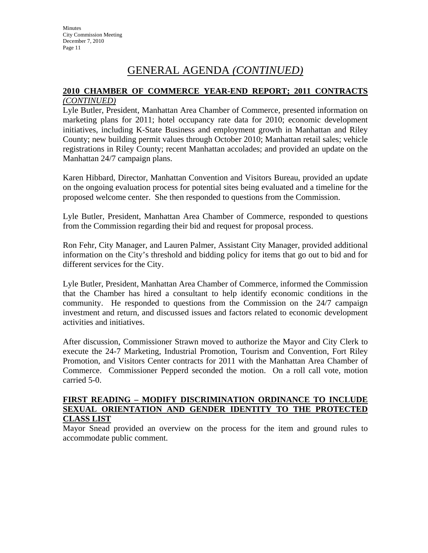### **2010 CHAMBER OF COMMERCE YEAR-END REPORT; 2011 CONTRACTS** *(CONTINUED)*

Lyle Butler, President, Manhattan Area Chamber of Commerce, presented information on marketing plans for 2011; hotel occupancy rate data for 2010; economic development initiatives, including K-State Business and employment growth in Manhattan and Riley County; new building permit values through October 2010; Manhattan retail sales; vehicle registrations in Riley County; recent Manhattan accolades; and provided an update on the Manhattan 24/7 campaign plans.

Karen Hibbard, Director, Manhattan Convention and Visitors Bureau, provided an update on the ongoing evaluation process for potential sites being evaluated and a timeline for the proposed welcome center. She then responded to questions from the Commission.

Lyle Butler, President, Manhattan Area Chamber of Commerce, responded to questions from the Commission regarding their bid and request for proposal process.

Ron Fehr, City Manager, and Lauren Palmer, Assistant City Manager, provided additional information on the City's threshold and bidding policy for items that go out to bid and for different services for the City.

Lyle Butler, President, Manhattan Area Chamber of Commerce, informed the Commission that the Chamber has hired a consultant to help identify economic conditions in the community. He responded to questions from the Commission on the 24/7 campaign investment and return, and discussed issues and factors related to economic development activities and initiatives.

After discussion, Commissioner Strawn moved to authorize the Mayor and City Clerk to execute the 24-7 Marketing, Industrial Promotion, Tourism and Convention, Fort Riley Promotion, and Visitors Center contracts for 2011 with the Manhattan Area Chamber of Commerce. Commissioner Pepperd seconded the motion. On a roll call vote, motion carried 5-0.

#### **FIRST READING – MODIFY DISCRIMINATION ORDINANCE TO INCLUDE SEXUAL ORIENTATION AND GENDER IDENTITY TO THE PROTECTED CLASS LIST**

Mayor Snead provided an overview on the process for the item and ground rules to accommodate public comment.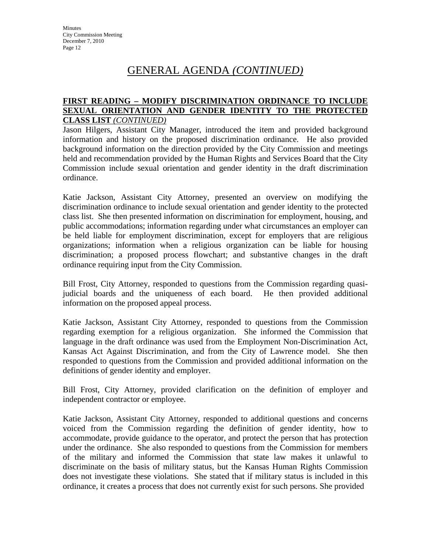#### **FIRST READING – MODIFY DISCRIMINATION ORDINANCE TO INCLUDE SEXUAL ORIENTATION AND GENDER IDENTITY TO THE PROTECTED CLASS LIST** *(CONTINUED)*

Jason Hilgers, Assistant City Manager, introduced the item and provided background information and history on the proposed discrimination ordinance. He also provided background information on the direction provided by the City Commission and meetings held and recommendation provided by the Human Rights and Services Board that the City Commission include sexual orientation and gender identity in the draft discrimination ordinance.

Katie Jackson, Assistant City Attorney, presented an overview on modifying the discrimination ordinance to include sexual orientation and gender identity to the protected class list. She then presented information on discrimination for employment, housing, and public accommodations; information regarding under what circumstances an employer can be held liable for employment discrimination, except for employers that are religious organizations; information when a religious organization can be liable for housing discrimination; a proposed process flowchart; and substantive changes in the draft ordinance requiring input from the City Commission.

Bill Frost, City Attorney, responded to questions from the Commission regarding quasijudicial boards and the uniqueness of each board. He then provided additional information on the proposed appeal process.

Katie Jackson, Assistant City Attorney, responded to questions from the Commission regarding exemption for a religious organization. She informed the Commission that language in the draft ordinance was used from the Employment Non-Discrimination Act, Kansas Act Against Discrimination, and from the City of Lawrence model. She then responded to questions from the Commission and provided additional information on the definitions of gender identity and employer.

Bill Frost, City Attorney, provided clarification on the definition of employer and independent contractor or employee.

Katie Jackson, Assistant City Attorney, responded to additional questions and concerns voiced from the Commission regarding the definition of gender identity, how to accommodate, provide guidance to the operator, and protect the person that has protection under the ordinance. She also responded to questions from the Commission for members of the military and informed the Commission that state law makes it unlawful to discriminate on the basis of military status, but the Kansas Human Rights Commission does not investigate these violations. She stated that if military status is included in this ordinance, it creates a process that does not currently exist for such persons. She provided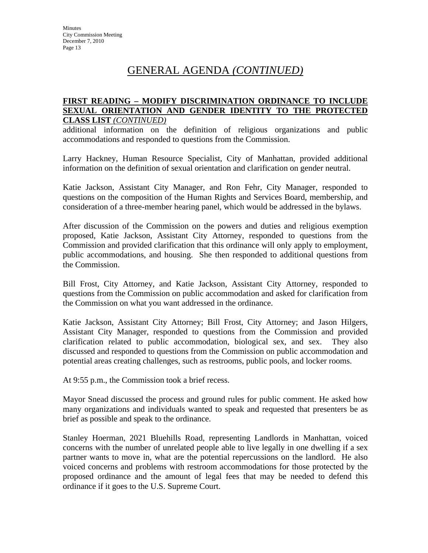#### **FIRST READING – MODIFY DISCRIMINATION ORDINANCE TO INCLUDE SEXUAL ORIENTATION AND GENDER IDENTITY TO THE PROTECTED CLASS LIST** *(CONTINUED)*

additional information on the definition of religious organizations and public accommodations and responded to questions from the Commission.

Larry Hackney, Human Resource Specialist, City of Manhattan, provided additional information on the definition of sexual orientation and clarification on gender neutral.

Katie Jackson, Assistant City Manager, and Ron Fehr, City Manager, responded to questions on the composition of the Human Rights and Services Board, membership, and consideration of a three-member hearing panel, which would be addressed in the bylaws.

After discussion of the Commission on the powers and duties and religious exemption proposed, Katie Jackson, Assistant City Attorney, responded to questions from the Commission and provided clarification that this ordinance will only apply to employment, public accommodations, and housing. She then responded to additional questions from the Commission.

Bill Frost, City Attorney, and Katie Jackson, Assistant City Attorney, responded to questions from the Commission on public accommodation and asked for clarification from the Commission on what you want addressed in the ordinance.

Katie Jackson, Assistant City Attorney; Bill Frost, City Attorney; and Jason Hilgers, Assistant City Manager, responded to questions from the Commission and provided clarification related to public accommodation, biological sex, and sex. They also discussed and responded to questions from the Commission on public accommodation and potential areas creating challenges, such as restrooms, public pools, and locker rooms.

At 9:55 p.m., the Commission took a brief recess.

Mayor Snead discussed the process and ground rules for public comment. He asked how many organizations and individuals wanted to speak and requested that presenters be as brief as possible and speak to the ordinance.

Stanley Hoerman, 2021 Bluehills Road, representing Landlords in Manhattan, voiced concerns with the number of unrelated people able to live legally in one dwelling if a sex partner wants to move in, what are the potential repercussions on the landlord. He also voiced concerns and problems with restroom accommodations for those protected by the proposed ordinance and the amount of legal fees that may be needed to defend this ordinance if it goes to the U.S. Supreme Court.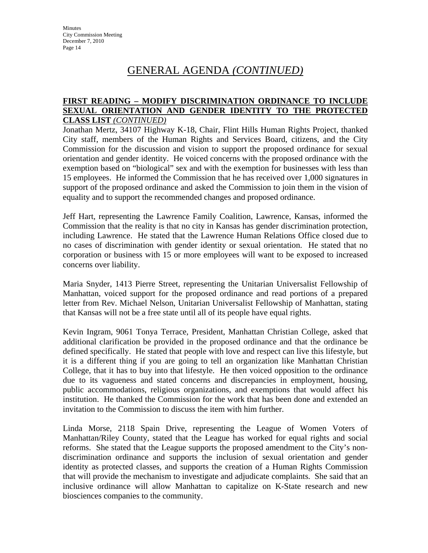#### **FIRST READING – MODIFY DISCRIMINATION ORDINANCE TO INCLUDE SEXUAL ORIENTATION AND GENDER IDENTITY TO THE PROTECTED CLASS LIST** *(CONTINUED)*

Jonathan Mertz, 34107 Highway K-18, Chair, Flint Hills Human Rights Project, thanked City staff, members of the Human Rights and Services Board, citizens, and the City Commission for the discussion and vision to support the proposed ordinance for sexual orientation and gender identity. He voiced concerns with the proposed ordinance with the exemption based on "biological" sex and with the exemption for businesses with less than 15 employees. He informed the Commission that he has received over 1,000 signatures in support of the proposed ordinance and asked the Commission to join them in the vision of equality and to support the recommended changes and proposed ordinance.

Jeff Hart, representing the Lawrence Family Coalition, Lawrence, Kansas, informed the Commission that the reality is that no city in Kansas has gender discrimination protection, including Lawrence. He stated that the Lawrence Human Relations Office closed due to no cases of discrimination with gender identity or sexual orientation. He stated that no corporation or business with 15 or more employees will want to be exposed to increased concerns over liability.

Maria Snyder, 1413 Pierre Street, representing the Unitarian Universalist Fellowship of Manhattan, voiced support for the proposed ordinance and read portions of a prepared letter from Rev. Michael Nelson, Unitarian Universalist Fellowship of Manhattan, stating that Kansas will not be a free state until all of its people have equal rights.

Kevin Ingram, 9061 Tonya Terrace, President, Manhattan Christian College, asked that additional clarification be provided in the proposed ordinance and that the ordinance be defined specifically. He stated that people with love and respect can live this lifestyle, but it is a different thing if you are going to tell an organization like Manhattan Christian College, that it has to buy into that lifestyle. He then voiced opposition to the ordinance due to its vagueness and stated concerns and discrepancies in employment, housing, public accommodations, religious organizations, and exemptions that would affect his institution. He thanked the Commission for the work that has been done and extended an invitation to the Commission to discuss the item with him further.

Linda Morse, 2118 Spain Drive, representing the League of Women Voters of Manhattan/Riley County, stated that the League has worked for equal rights and social reforms. She stated that the League supports the proposed amendment to the City's nondiscrimination ordinance and supports the inclusion of sexual orientation and gender identity as protected classes, and supports the creation of a Human Rights Commission that will provide the mechanism to investigate and adjudicate complaints. She said that an inclusive ordinance will allow Manhattan to capitalize on K-State research and new biosciences companies to the community.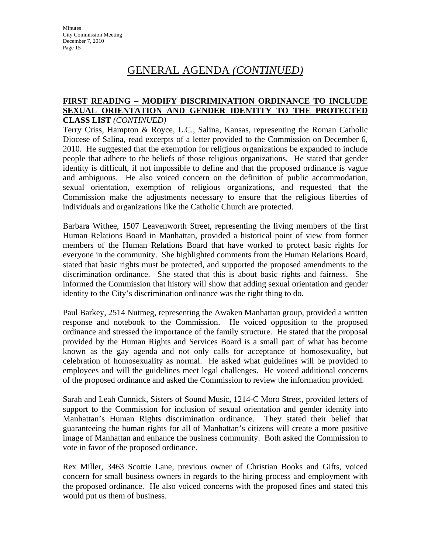#### **FIRST READING – MODIFY DISCRIMINATION ORDINANCE TO INCLUDE SEXUAL ORIENTATION AND GENDER IDENTITY TO THE PROTECTED CLASS LIST** *(CONTINUED)*

Terry Criss, Hampton & Royce, L.C., Salina, Kansas, representing the Roman Catholic Diocese of Salina, read excerpts of a letter provided to the Commission on December 6, 2010. He suggested that the exemption for religious organizations be expanded to include people that adhere to the beliefs of those religious organizations. He stated that gender identity is difficult, if not impossible to define and that the proposed ordinance is vague and ambiguous. He also voiced concern on the definition of public accommodation, sexual orientation, exemption of religious organizations, and requested that the Commission make the adjustments necessary to ensure that the religious liberties of individuals and organizations like the Catholic Church are protected.

Barbara Withee, 1507 Leavenworth Street, representing the living members of the first Human Relations Board in Manhattan, provided a historical point of view from former members of the Human Relations Board that have worked to protect basic rights for everyone in the community. She highlighted comments from the Human Relations Board, stated that basic rights must be protected, and supported the proposed amendments to the discrimination ordinance. She stated that this is about basic rights and fairness. She informed the Commission that history will show that adding sexual orientation and gender identity to the City's discrimination ordinance was the right thing to do.

Paul Barkey, 2514 Nutmeg, representing the Awaken Manhattan group, provided a written response and notebook to the Commission. He voiced opposition to the proposed ordinance and stressed the importance of the family structure. He stated that the proposal provided by the Human Rights and Services Board is a small part of what has become known as the gay agenda and not only calls for acceptance of homosexuality, but celebration of homosexuality as normal. He asked what guidelines will be provided to employees and will the guidelines meet legal challenges. He voiced additional concerns of the proposed ordinance and asked the Commission to review the information provided.

Sarah and Leah Cunnick, Sisters of Sound Music, 1214-C Moro Street, provided letters of support to the Commission for inclusion of sexual orientation and gender identity into Manhattan's Human Rights discrimination ordinance. They stated their belief that guaranteeing the human rights for all of Manhattan's citizens will create a more positive image of Manhattan and enhance the business community. Both asked the Commission to vote in favor of the proposed ordinance.

Rex Miller, 3463 Scottie Lane, previous owner of Christian Books and Gifts, voiced concern for small business owners in regards to the hiring process and employment with the proposed ordinance. He also voiced concerns with the proposed fines and stated this would put us them of business.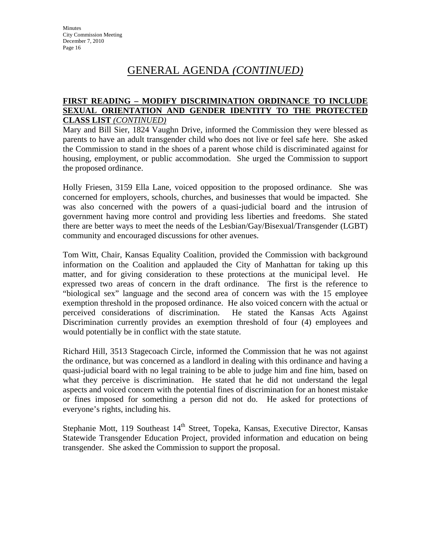#### **FIRST READING – MODIFY DISCRIMINATION ORDINANCE TO INCLUDE SEXUAL ORIENTATION AND GENDER IDENTITY TO THE PROTECTED CLASS LIST** *(CONTINUED)*

Mary and Bill Sier, 1824 Vaughn Drive, informed the Commission they were blessed as parents to have an adult transgender child who does not live or feel safe here. She asked the Commission to stand in the shoes of a parent whose child is discriminated against for housing, employment, or public accommodation. She urged the Commission to support the proposed ordinance.

Holly Friesen, 3159 Ella Lane, voiced opposition to the proposed ordinance. She was concerned for employers, schools, churches, and businesses that would be impacted. She was also concerned with the powers of a quasi-judicial board and the intrusion of government having more control and providing less liberties and freedoms. She stated there are better ways to meet the needs of the Lesbian/Gay/Bisexual/Transgender (LGBT) community and encouraged discussions for other avenues.

Tom Witt, Chair, Kansas Equality Coalition, provided the Commission with background information on the Coalition and applauded the City of Manhattan for taking up this matter, and for giving consideration to these protections at the municipal level. He expressed two areas of concern in the draft ordinance. The first is the reference to "biological sex" language and the second area of concern was with the 15 employee exemption threshold in the proposed ordinance. He also voiced concern with the actual or perceived considerations of discrimination. He stated the Kansas Acts Against Discrimination currently provides an exemption threshold of four (4) employees and would potentially be in conflict with the state statute.

Richard Hill, 3513 Stagecoach Circle, informed the Commission that he was not against the ordinance, but was concerned as a landlord in dealing with this ordinance and having a quasi-judicial board with no legal training to be able to judge him and fine him, based on what they perceive is discrimination. He stated that he did not understand the legal aspects and voiced concern with the potential fines of discrimination for an honest mistake or fines imposed for something a person did not do. He asked for protections of everyone's rights, including his.

Stephanie Mott, 119 Southeast 14<sup>th</sup> Street, Topeka, Kansas, Executive Director, Kansas Statewide Transgender Education Project, provided information and education on being transgender. She asked the Commission to support the proposal.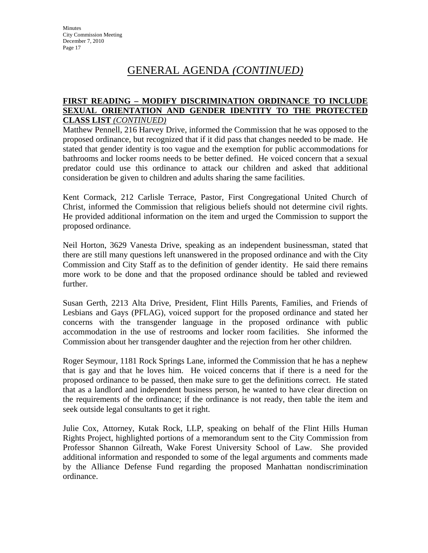#### **FIRST READING – MODIFY DISCRIMINATION ORDINANCE TO INCLUDE SEXUAL ORIENTATION AND GENDER IDENTITY TO THE PROTECTED CLASS LIST** *(CONTINUED)*

Matthew Pennell, 216 Harvey Drive, informed the Commission that he was opposed to the proposed ordinance, but recognized that if it did pass that changes needed to be made. He stated that gender identity is too vague and the exemption for public accommodations for bathrooms and locker rooms needs to be better defined. He voiced concern that a sexual predator could use this ordinance to attack our children and asked that additional consideration be given to children and adults sharing the same facilities.

Kent Cormack, 212 Carlisle Terrace, Pastor, First Congregational United Church of Christ, informed the Commission that religious beliefs should not determine civil rights. He provided additional information on the item and urged the Commission to support the proposed ordinance.

Neil Horton, 3629 Vanesta Drive, speaking as an independent businessman, stated that there are still many questions left unanswered in the proposed ordinance and with the City Commission and City Staff as to the definition of gender identity. He said there remains more work to be done and that the proposed ordinance should be tabled and reviewed further.

Susan Gerth, 2213 Alta Drive, President, Flint Hills Parents, Families, and Friends of Lesbians and Gays (PFLAG), voiced support for the proposed ordinance and stated her concerns with the transgender language in the proposed ordinance with public accommodation in the use of restrooms and locker room facilities. She informed the Commission about her transgender daughter and the rejection from her other children.

Roger Seymour, 1181 Rock Springs Lane, informed the Commission that he has a nephew that is gay and that he loves him. He voiced concerns that if there is a need for the proposed ordinance to be passed, then make sure to get the definitions correct. He stated that as a landlord and independent business person, he wanted to have clear direction on the requirements of the ordinance; if the ordinance is not ready, then table the item and seek outside legal consultants to get it right.

Julie Cox, Attorney, Kutak Rock, LLP, speaking on behalf of the Flint Hills Human Rights Project, highlighted portions of a memorandum sent to the City Commission from Professor Shannon Gilreath, Wake Forest University School of Law. She provided additional information and responded to some of the legal arguments and comments made by the Alliance Defense Fund regarding the proposed Manhattan nondiscrimination ordinance.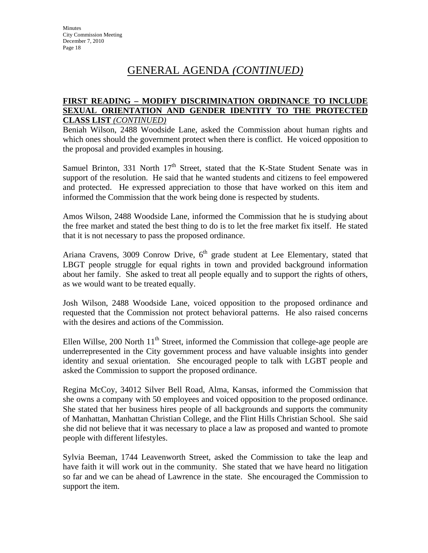#### **FIRST READING – MODIFY DISCRIMINATION ORDINANCE TO INCLUDE SEXUAL ORIENTATION AND GENDER IDENTITY TO THE PROTECTED CLASS LIST** *(CONTINUED)*

Beniah Wilson, 2488 Woodside Lane, asked the Commission about human rights and which ones should the government protect when there is conflict. He voiced opposition to the proposal and provided examples in housing.

Samuel Brinton, 331 North  $17<sup>th</sup>$  Street, stated that the K-State Student Senate was in support of the resolution. He said that he wanted students and citizens to feel empowered and protected. He expressed appreciation to those that have worked on this item and informed the Commission that the work being done is respected by students.

Amos Wilson, 2488 Woodside Lane, informed the Commission that he is studying about the free market and stated the best thing to do is to let the free market fix itself. He stated that it is not necessary to pass the proposed ordinance.

Ariana Cravens, 3009 Conrow Drive,  $6<sup>th</sup>$  grade student at Lee Elementary, stated that LBGT people struggle for equal rights in town and provided background information about her family. She asked to treat all people equally and to support the rights of others, as we would want to be treated equally.

Josh Wilson, 2488 Woodside Lane, voiced opposition to the proposed ordinance and requested that the Commission not protect behavioral patterns. He also raised concerns with the desires and actions of the Commission.

Ellen Willse, 200 North  $11<sup>th</sup>$  Street, informed the Commission that college-age people are underrepresented in the City government process and have valuable insights into gender identity and sexual orientation. She encouraged people to talk with LGBT people and asked the Commission to support the proposed ordinance.

Regina McCoy, 34012 Silver Bell Road, Alma, Kansas, informed the Commission that she owns a company with 50 employees and voiced opposition to the proposed ordinance. She stated that her business hires people of all backgrounds and supports the community of Manhattan, Manhattan Christian College, and the Flint Hills Christian School. She said she did not believe that it was necessary to place a law as proposed and wanted to promote people with different lifestyles.

Sylvia Beeman, 1744 Leavenworth Street, asked the Commission to take the leap and have faith it will work out in the community. She stated that we have heard no litigation so far and we can be ahead of Lawrence in the state. She encouraged the Commission to support the item.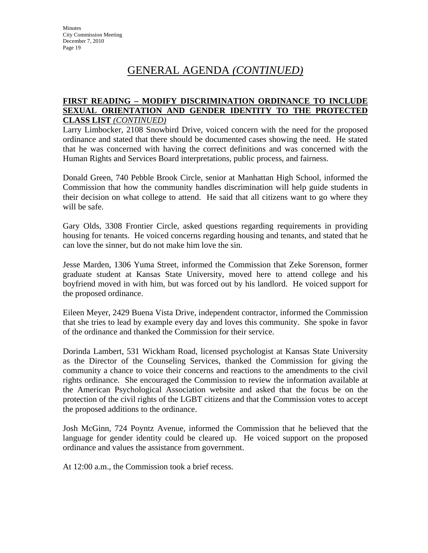### **FIRST READING – MODIFY DISCRIMINATION ORDINANCE TO INCLUDE SEXUAL ORIENTATION AND GENDER IDENTITY TO THE PROTECTED CLASS LIST** *(CONTINUED)*

Larry Limbocker, 2108 Snowbird Drive, voiced concern with the need for the proposed ordinance and stated that there should be documented cases showing the need. He stated that he was concerned with having the correct definitions and was concerned with the Human Rights and Services Board interpretations, public process, and fairness.

Donald Green, 740 Pebble Brook Circle, senior at Manhattan High School, informed the Commission that how the community handles discrimination will help guide students in their decision on what college to attend. He said that all citizens want to go where they will be safe.

Gary Olds, 3308 Frontier Circle, asked questions regarding requirements in providing housing for tenants. He voiced concerns regarding housing and tenants, and stated that he can love the sinner, but do not make him love the sin.

Jesse Marden, 1306 Yuma Street, informed the Commission that Zeke Sorenson, former graduate student at Kansas State University, moved here to attend college and his boyfriend moved in with him, but was forced out by his landlord. He voiced support for the proposed ordinance.

Eileen Meyer, 2429 Buena Vista Drive, independent contractor, informed the Commission that she tries to lead by example every day and loves this community. She spoke in favor of the ordinance and thanked the Commission for their service.

Dorinda Lambert, 531 Wickham Road, licensed psychologist at Kansas State University as the Director of the Counseling Services, thanked the Commission for giving the community a chance to voice their concerns and reactions to the amendments to the civil rights ordinance. She encouraged the Commission to review the information available at the American Psychological Association website and asked that the focus be on the protection of the civil rights of the LGBT citizens and that the Commission votes to accept the proposed additions to the ordinance.

Josh McGinn, 724 Poyntz Avenue, informed the Commission that he believed that the language for gender identity could be cleared up. He voiced support on the proposed ordinance and values the assistance from government.

At 12:00 a.m., the Commission took a brief recess.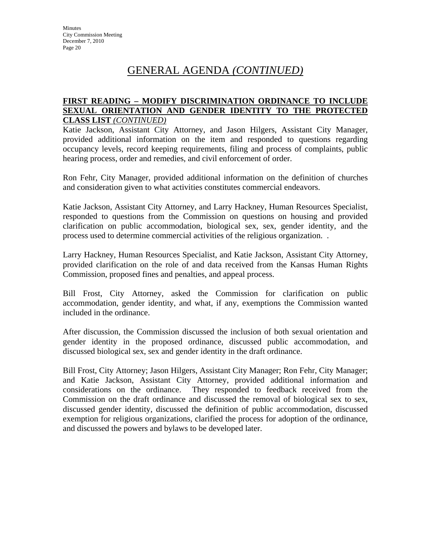#### **FIRST READING – MODIFY DISCRIMINATION ORDINANCE TO INCLUDE SEXUAL ORIENTATION AND GENDER IDENTITY TO THE PROTECTED CLASS LIST** *(CONTINUED)*

Katie Jackson, Assistant City Attorney, and Jason Hilgers, Assistant City Manager, provided additional information on the item and responded to questions regarding occupancy levels, record keeping requirements, filing and process of complaints, public hearing process, order and remedies, and civil enforcement of order.

Ron Fehr, City Manager, provided additional information on the definition of churches and consideration given to what activities constitutes commercial endeavors.

Katie Jackson, Assistant City Attorney, and Larry Hackney, Human Resources Specialist, responded to questions from the Commission on questions on housing and provided clarification on public accommodation, biological sex, sex, gender identity, and the process used to determine commercial activities of the religious organization. .

Larry Hackney, Human Resources Specialist, and Katie Jackson, Assistant City Attorney, provided clarification on the role of and data received from the Kansas Human Rights Commission, proposed fines and penalties, and appeal process.

Bill Frost, City Attorney, asked the Commission for clarification on public accommodation, gender identity, and what, if any, exemptions the Commission wanted included in the ordinance.

After discussion, the Commission discussed the inclusion of both sexual orientation and gender identity in the proposed ordinance, discussed public accommodation, and discussed biological sex, sex and gender identity in the draft ordinance.

Bill Frost, City Attorney; Jason Hilgers, Assistant City Manager; Ron Fehr, City Manager; and Katie Jackson, Assistant City Attorney, provided additional information and considerations on the ordinance. They responded to feedback received from the Commission on the draft ordinance and discussed the removal of biological sex to sex, discussed gender identity, discussed the definition of public accommodation, discussed exemption for religious organizations, clarified the process for adoption of the ordinance, and discussed the powers and bylaws to be developed later.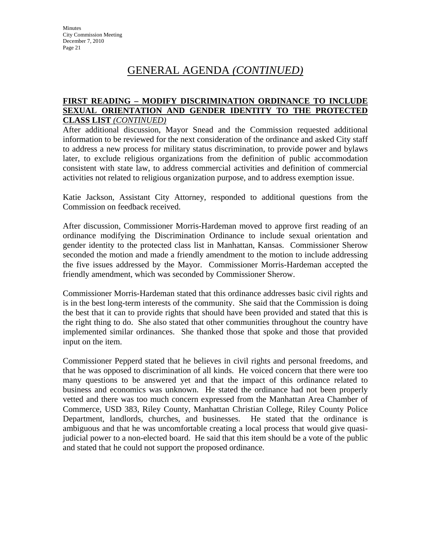#### **FIRST READING – MODIFY DISCRIMINATION ORDINANCE TO INCLUDE SEXUAL ORIENTATION AND GENDER IDENTITY TO THE PROTECTED CLASS LIST** *(CONTINUED)*

After additional discussion, Mayor Snead and the Commission requested additional information to be reviewed for the next consideration of the ordinance and asked City staff to address a new process for military status discrimination, to provide power and bylaws later, to exclude religious organizations from the definition of public accommodation consistent with state law, to address commercial activities and definition of commercial activities not related to religious organization purpose, and to address exemption issue.

Katie Jackson, Assistant City Attorney, responded to additional questions from the Commission on feedback received.

After discussion, Commissioner Morris-Hardeman moved to approve first reading of an ordinance modifying the Discrimination Ordinance to include sexual orientation and gender identity to the protected class list in Manhattan, Kansas. Commissioner Sherow seconded the motion and made a friendly amendment to the motion to include addressing the five issues addressed by the Mayor. Commissioner Morris-Hardeman accepted the friendly amendment, which was seconded by Commissioner Sherow.

Commissioner Morris-Hardeman stated that this ordinance addresses basic civil rights and is in the best long-term interests of the community. She said that the Commission is doing the best that it can to provide rights that should have been provided and stated that this is the right thing to do. She also stated that other communities throughout the country have implemented similar ordinances. She thanked those that spoke and those that provided input on the item.

Commissioner Pepperd stated that he believes in civil rights and personal freedoms, and that he was opposed to discrimination of all kinds. He voiced concern that there were too many questions to be answered yet and that the impact of this ordinance related to business and economics was unknown. He stated the ordinance had not been properly vetted and there was too much concern expressed from the Manhattan Area Chamber of Commerce, USD 383, Riley County, Manhattan Christian College, Riley County Police Department, landlords, churches, and businesses. He stated that the ordinance is ambiguous and that he was uncomfortable creating a local process that would give quasijudicial power to a non-elected board. He said that this item should be a vote of the public and stated that he could not support the proposed ordinance.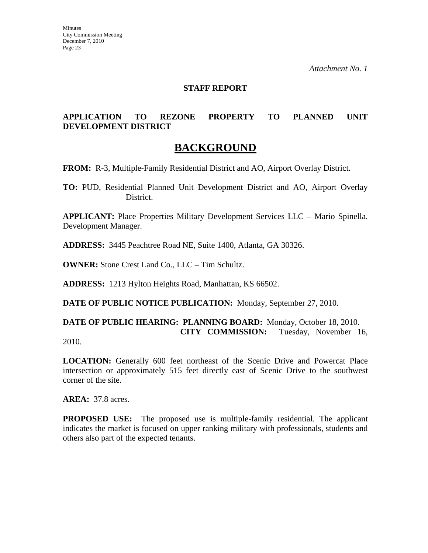### **STAFF REPORT**

### **APPLICATION TO REZONE PROPERTY TO PLANNED UNIT DEVELOPMENT DISTRICT**

# **BACKGROUND**

**FROM:** R-3, Multiple-Family Residential District and AO, Airport Overlay District.

**TO:** PUD, Residential Planned Unit Development District and AO, Airport Overlay District.

**APPLICANT:** Place Properties Military Development Services LLC – Mario Spinella. Development Manager.

**ADDRESS:** 3445 Peachtree Road NE, Suite 1400, Atlanta, GA 30326.

**OWNER:** Stone Crest Land Co., LLC – Tim Schultz.

**ADDRESS:** 1213 Hylton Heights Road, Manhattan, KS 66502.

**DATE OF PUBLIC NOTICE PUBLICATION:** Monday, September 27, 2010.

**DATE OF PUBLIC HEARING: PLANNING BOARD:** Monday, October 18, 2010. **CITY COMMISSION:** Tuesday, November 16,

2010.

LOCATION: Generally 600 feet northeast of the Scenic Drive and Powercat Place intersection or approximately 515 feet directly east of Scenic Drive to the southwest corner of the site.

**AREA:** 37.8 acres.

**PROPOSED USE:** The proposed use is multiple-family residential. The applicant indicates the market is focused on upper ranking military with professionals, students and others also part of the expected tenants.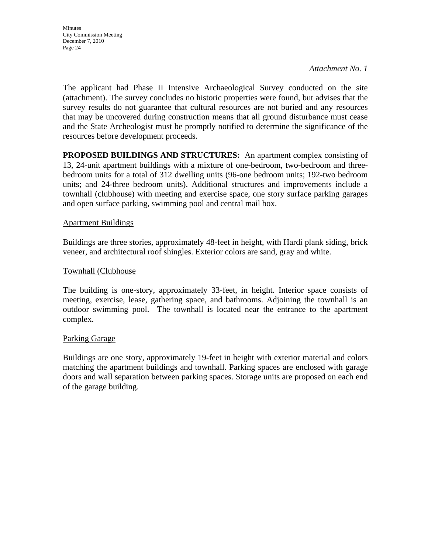The applicant had Phase II Intensive Archaeological Survey conducted on the site (attachment). The survey concludes no historic properties were found, but advises that the survey results do not guarantee that cultural resources are not buried and any resources that may be uncovered during construction means that all ground disturbance must cease and the State Archeologist must be promptly notified to determine the significance of the resources before development proceeds.

**PROPOSED BUILDINGS AND STRUCTURES:** An apartment complex consisting of 13, 24-unit apartment buildings with a mixture of one-bedroom, two-bedroom and threebedroom units for a total of 312 dwelling units (96-one bedroom units; 192-two bedroom units; and 24-three bedroom units). Additional structures and improvements include a townhall (clubhouse) with meeting and exercise space, one story surface parking garages and open surface parking, swimming pool and central mail box.

#### Apartment Buildings

Buildings are three stories, approximately 48-feet in height, with Hardi plank siding, brick veneer, and architectural roof shingles. Exterior colors are sand, gray and white.

#### Townhall (Clubhouse

The building is one-story, approximately 33-feet, in height. Interior space consists of meeting, exercise, lease, gathering space, and bathrooms. Adjoining the townhall is an outdoor swimming pool. The townhall is located near the entrance to the apartment complex.

#### Parking Garage

Buildings are one story, approximately 19-feet in height with exterior material and colors matching the apartment buildings and townhall. Parking spaces are enclosed with garage doors and wall separation between parking spaces. Storage units are proposed on each end of the garage building.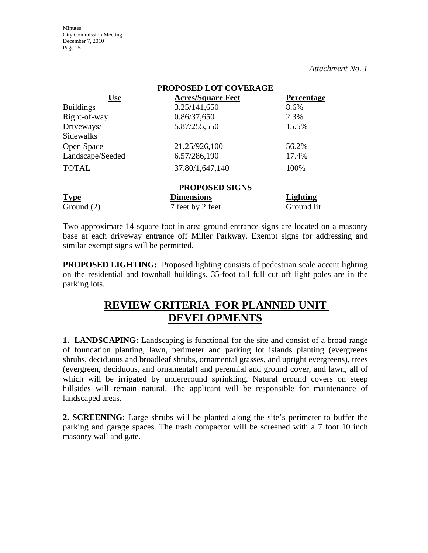**Minutes** City Commission Meeting December 7, 2010 Page 25

*Attachment No. 1*

| PROPOSED LOT COVERAGE |                          |                   |  |  |  |  |
|-----------------------|--------------------------|-------------------|--|--|--|--|
| <b>Use</b>            | <b>Acres/Square Feet</b> | <b>Percentage</b> |  |  |  |  |
| <b>Buildings</b>      | 3.25/141,650             | 8.6%              |  |  |  |  |
| Right-of-way          | 0.86/37,650              | 2.3%              |  |  |  |  |
| Driveways/            | 5.87/255,550             | 15.5%             |  |  |  |  |
| Sidewalks             |                          |                   |  |  |  |  |
| Open Space            | 21.25/926,100            | 56.2%             |  |  |  |  |
| Landscape/Seeded      | 6.57/286,190             | 17.4%             |  |  |  |  |
| <b>TOTAL</b>          | 37.80/1,647,140          | 100%              |  |  |  |  |
| <b>PROPOSED SIGNS</b> |                          |                   |  |  |  |  |
| <b>Type</b>           | <b>Dimensions</b>        | Lighting          |  |  |  |  |
| Ground $(2)$          | 7 feet by 2 feet         | Ground lit        |  |  |  |  |

Two approximate 14 square foot in area ground entrance signs are located on a masonry base at each driveway entrance off Miller Parkway. Exempt signs for addressing and similar exempt signs will be permitted.

**PROPOSED LIGHTING:** Proposed lighting consists of pedestrian scale accent lighting on the residential and townhall buildings. 35-foot tall full cut off light poles are in the parking lots.

# **REVIEW CRITERIA FOR PLANNED UNIT DEVELOPMENTS**

**1. LANDSCAPING:** Landscaping is functional for the site and consist of a broad range of foundation planting, lawn, perimeter and parking lot islands planting (evergreens shrubs, deciduous and broadleaf shrubs, ornamental grasses, and upright evergreens), trees (evergreen, deciduous, and ornamental) and perennial and ground cover, and lawn, all of which will be irrigated by underground sprinkling. Natural ground covers on steep hillsides will remain natural. The applicant will be responsible for maintenance of landscaped areas.

**2. SCREENING:** Large shrubs will be planted along the site's perimeter to buffer the parking and garage spaces. The trash compactor will be screened with a 7 foot 10 inch masonry wall and gate.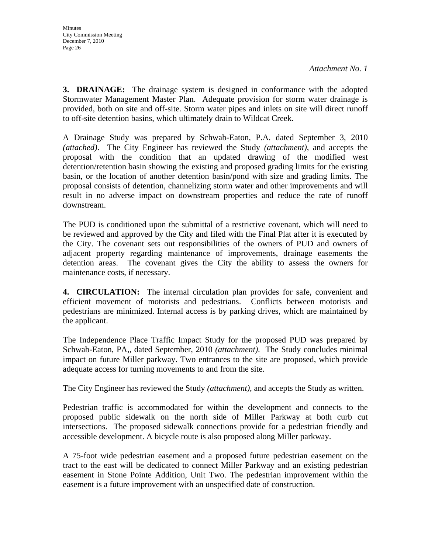**3. DRAINAGE:** The drainage system is designed in conformance with the adopted Stormwater Management Master Plan. Adequate provision for storm water drainage is provided, both on site and off-site. Storm water pipes and inlets on site will direct runoff to off-site detention basins, which ultimately drain to Wildcat Creek.

A Drainage Study was prepared by Schwab-Eaton, P.A. dated September 3, 2010 *(attached)*. The City Engineer has reviewed the Study *(attachment)*, and accepts the proposal with the condition that an updated drawing of the modified west detention/retention basin showing the existing and proposed grading limits for the existing basin, or the location of another detention basin/pond with size and grading limits. The proposal consists of detention, channelizing storm water and other improvements and will result in no adverse impact on downstream properties and reduce the rate of runoff downstream.

The PUD is conditioned upon the submittal of a restrictive covenant, which will need to be reviewed and approved by the City and filed with the Final Plat after it is executed by the City. The covenant sets out responsibilities of the owners of PUD and owners of adjacent property regarding maintenance of improvements, drainage easements the detention areas. The covenant gives the City the ability to assess the owners for maintenance costs, if necessary.

**4. CIRCULATION:** The internal circulation plan provides for safe, convenient and efficient movement of motorists and pedestrians. Conflicts between motorists and pedestrians are minimized. Internal access is by parking drives, which are maintained by the applicant.

The Independence Place Traffic Impact Study for the proposed PUD was prepared by Schwab-Eaton, PA,, dated September, 2010 *(attachment)*. The Study concludes minimal impact on future Miller parkway. Two entrances to the site are proposed, which provide adequate access for turning movements to and from the site.

The City Engineer has reviewed the Study *(attachment)*, and accepts the Study as written.

Pedestrian traffic is accommodated for within the development and connects to the proposed public sidewalk on the north side of Miller Parkway at both curb cut intersections. The proposed sidewalk connections provide for a pedestrian friendly and accessible development. A bicycle route is also proposed along Miller parkway.

A 75-foot wide pedestrian easement and a proposed future pedestrian easement on the tract to the east will be dedicated to connect Miller Parkway and an existing pedestrian easement in Stone Pointe Addition, Unit Two. The pedestrian improvement within the easement is a future improvement with an unspecified date of construction.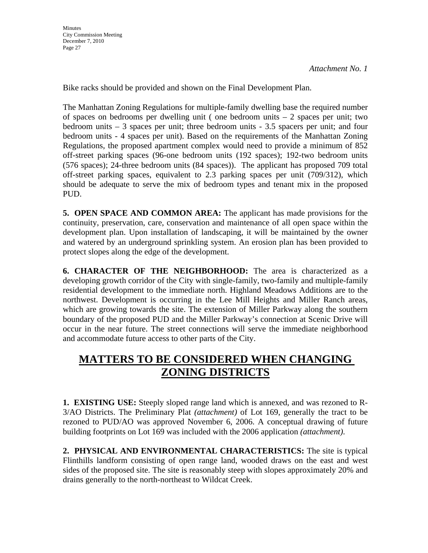Bike racks should be provided and shown on the Final Development Plan.

The Manhattan Zoning Regulations for multiple-family dwelling base the required number of spaces on bedrooms per dwelling unit ( one bedroom units – 2 spaces per unit; two bedroom units – 3 spaces per unit; three bedroom units - 3.5 spacers per unit; and four bedroom units - 4 spaces per unit). Based on the requirements of the Manhattan Zoning Regulations, the proposed apartment complex would need to provide a minimum of 852 off-street parking spaces (96-one bedroom units (192 spaces); 192-two bedroom units (576 spaces); 24-three bedroom units (84 spaces)). The applicant has proposed 709 total off-street parking spaces, equivalent to 2.3 parking spaces per unit (709/312), which should be adequate to serve the mix of bedroom types and tenant mix in the proposed PUD.

**5. OPEN SPACE AND COMMON AREA:** The applicant has made provisions for the continuity, preservation, care, conservation and maintenance of all open space within the development plan. Upon installation of landscaping, it will be maintained by the owner and watered by an underground sprinkling system. An erosion plan has been provided to protect slopes along the edge of the development.

**6. CHARACTER OF THE NEIGHBORHOOD:** The area is characterized as a developing growth corridor of the City with single-family, two-family and multiple-family residential development to the immediate north. Highland Meadows Additions are to the northwest. Development is occurring in the Lee Mill Heights and Miller Ranch areas, which are growing towards the site. The extension of Miller Parkway along the southern boundary of the proposed PUD and the Miller Parkway's connection at Scenic Drive will occur in the near future. The street connections will serve the immediate neighborhood and accommodate future access to other parts of the City.

# **MATTERS TO BE CONSIDERED WHEN CHANGING ZONING DISTRICTS**

**1. EXISTING USE:** Steeply sloped range land which is annexed, and was rezoned to R-3/AO Districts. The Preliminary Plat *(attachment)* of Lot 169, generally the tract to be rezoned to PUD/AO was approved November 6, 2006. A conceptual drawing of future building footprints on Lot 169 was included with the 2006 application *(attachment)*.

**2. PHYSICAL AND ENVIRONMENTAL CHARACTERISTICS:** The site is typical Flinthills landform consisting of open range land, wooded draws on the east and west sides of the proposed site. The site is reasonably steep with slopes approximately 20% and drains generally to the north-northeast to Wildcat Creek.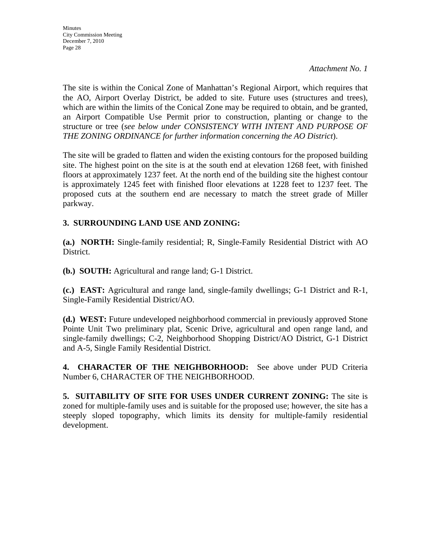The site is within the Conical Zone of Manhattan's Regional Airport, which requires that the AO, Airport Overlay District, be added to site. Future uses (structures and trees), which are within the limits of the Conical Zone may be required to obtain, and be granted, an Airport Compatible Use Permit prior to construction, planting or change to the structure or tree (*see below under CONSISTENCY WITH INTENT AND PURPOSE OF THE ZONING ORDINANCE for further information concerning the AO District*).

The site will be graded to flatten and widen the existing contours for the proposed building site. The highest point on the site is at the south end at elevation 1268 feet, with finished floors at approximately 1237 feet. At the north end of the building site the highest contour is approximately 1245 feet with finished floor elevations at 1228 feet to 1237 feet. The proposed cuts at the southern end are necessary to match the street grade of Miller parkway.

## **3. SURROUNDING LAND USE AND ZONING:**

**(a.) NORTH:** Single-family residential; R, Single-Family Residential District with AO District.

**(b.) SOUTH:** Agricultural and range land; G-1 District.

**(c.) EAST:** Agricultural and range land, single-family dwellings; G-1 District and R-1, Single-Family Residential District/AO.

**(d.) WEST:** Future undeveloped neighborhood commercial in previously approved Stone Pointe Unit Two preliminary plat, Scenic Drive, agricultural and open range land, and single-family dwellings; C-2, Neighborhood Shopping District/AO District, G-1 District and A-5, Single Family Residential District.

**4. CHARACTER OF THE NEIGHBORHOOD:** See above under PUD Criteria Number 6, CHARACTER OF THE NEIGHBORHOOD.

**5. SUITABILITY OF SITE FOR USES UNDER CURRENT ZONING:** The site is zoned for multiple-family uses and is suitable for the proposed use; however, the site has a steeply sloped topography, which limits its density for multiple-family residential development.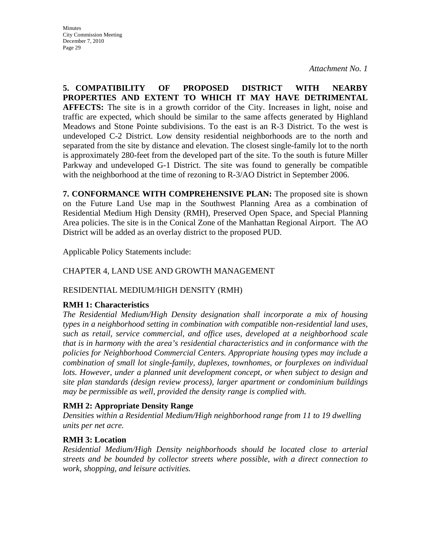**5. COMPATIBILITY OF PROPOSED DISTRICT WITH NEARBY PROPERTIES AND EXTENT TO WHICH IT MAY HAVE DETRIMENTAL AFFECTS:** The site is in a growth corridor of the City. Increases in light, noise and traffic are expected, which should be similar to the same affects generated by Highland Meadows and Stone Pointe subdivisions. To the east is an R-3 District. To the west is undeveloped C-2 District. Low density residential neighborhoods are to the north and separated from the site by distance and elevation. The closest single-family lot to the north is approximately 280-feet from the developed part of the site. To the south is future Miller Parkway and undeveloped G-1 District. The site was found to generally be compatible with the neighborhood at the time of rezoning to R-3/AO District in September 2006.

**7. CONFORMANCE WITH COMPREHENSIVE PLAN:** The proposed site is shown on the Future Land Use map in the Southwest Planning Area as a combination of Residential Medium High Density (RMH), Preserved Open Space, and Special Planning Area policies. The site is in the Conical Zone of the Manhattan Regional Airport. The AO District will be added as an overlay district to the proposed PUD.

Applicable Policy Statements include:

## CHAPTER 4, LAND USE AND GROWTH MANAGEMENT

## RESIDENTIAL MEDIUM/HIGH DENSITY (RMH)

### **RMH 1: Characteristics**

*The Residential Medium/High Density designation shall incorporate a mix of housing types in a neighborhood setting in combination with compatible non-residential land uses, such as retail, service commercial, and office uses, developed at a neighborhood scale that is in harmony with the area's residential characteristics and in conformance with the policies for Neighborhood Commercial Centers. Appropriate housing types may include a combination of small lot single-family, duplexes, townhomes, or fourplexes on individual*  lots. However, under a planned unit development concept, or when subject to design and *site plan standards (design review process), larger apartment or condominium buildings may be permissible as well, provided the density range is complied with.* 

### **RMH 2: Appropriate Density Range**

*Densities within a Residential Medium/High neighborhood range from 11 to 19 dwelling units per net acre.* 

## **RMH 3: Location**

*Residential Medium/High Density neighborhoods should be located close to arterial streets and be bounded by collector streets where possible, with a direct connection to work, shopping, and leisure activities.*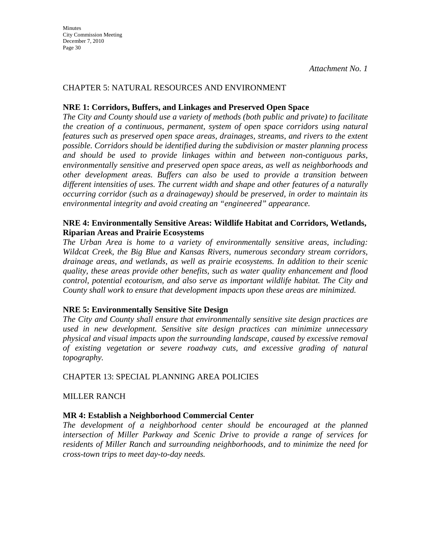#### CHAPTER 5: NATURAL RESOURCES AND ENVIRONMENT

#### **NRE 1: Corridors, Buffers, and Linkages and Preserved Open Space**

*The City and County should use a variety of methods (both public and private) to facilitate the creation of a continuous, permanent, system of open space corridors using natural features such as preserved open space areas, drainages, streams, and rivers to the extent possible. Corridors should be identified during the subdivision or master planning process and should be used to provide linkages within and between non-contiguous parks, environmentally sensitive and preserved open space areas, as well as neighborhoods and other development areas. Buffers can also be used to provide a transition between different intensities of uses. The current width and shape and other features of a naturally occurring corridor (such as a drainageway) should be preserved, in order to maintain its environmental integrity and avoid creating an "engineered" appearance.* 

#### **NRE 4: Environmentally Sensitive Areas: Wildlife Habitat and Corridors, Wetlands, Riparian Areas and Prairie Ecosystems**

*The Urban Area is home to a variety of environmentally sensitive areas, including: Wildcat Creek, the Big Blue and Kansas Rivers, numerous secondary stream corridors, drainage areas, and wetlands, as well as prairie ecosystems. In addition to their scenic quality, these areas provide other benefits, such as water quality enhancement and flood control, potential ecotourism, and also serve as important wildlife habitat. The City and County shall work to ensure that development impacts upon these areas are minimized.* 

### **NRE 5: Environmentally Sensitive Site Design**

*The City and County shall ensure that environmentally sensitive site design practices are used in new development. Sensitive site design practices can minimize unnecessary physical and visual impacts upon the surrounding landscape, caused by excessive removal of existing vegetation or severe roadway cuts, and excessive grading of natural topography.* 

CHAPTER 13: SPECIAL PLANNING AREA POLICIES

MILLER RANCH

### **MR 4: Establish a Neighborhood Commercial Center**

*The development of a neighborhood center should be encouraged at the planned intersection of Miller Parkway and Scenic Drive to provide a range of services for residents of Miller Ranch and surrounding neighborhoods, and to minimize the need for cross-town trips to meet day-to-day needs.*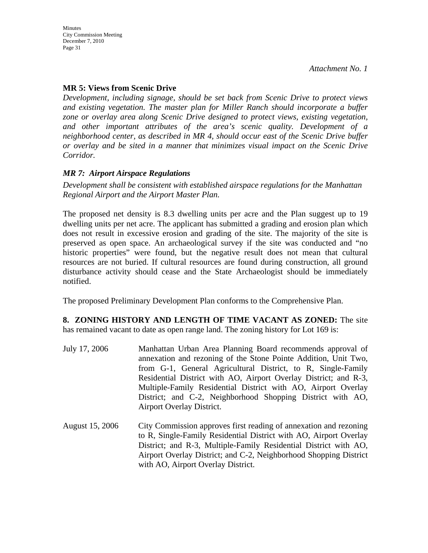## **MR 5: Views from Scenic Drive**

*Development, including signage, should be set back from Scenic Drive to protect views and existing vegetation. The master plan for Miller Ranch should incorporate a buffer zone or overlay area along Scenic Drive designed to protect views, existing vegetation, and other important attributes of the area's scenic quality. Development of a neighborhood center, as described in MR 4, should occur east of the Scenic Drive buffer or overlay and be sited in a manner that minimizes visual impact on the Scenic Drive Corridor.*

### *MR 7: Airport Airspace Regulations*

*Development shall be consistent with established airspace regulations for the Manhattan Regional Airport and the Airport Master Plan.* 

The proposed net density is 8.3 dwelling units per acre and the Plan suggest up to 19 dwelling units per net acre. The applicant has submitted a grading and erosion plan which does not result in excessive erosion and grading of the site. The majority of the site is preserved as open space. An archaeological survey if the site was conducted and "no historic properties" were found, but the negative result does not mean that cultural resources are not buried. If cultural resources are found during construction, all ground disturbance activity should cease and the State Archaeologist should be immediately notified.

The proposed Preliminary Development Plan conforms to the Comprehensive Plan.

#### **8. ZONING HISTORY AND LENGTH OF TIME VACANT AS ZONED:** The site has remained vacant to date as open range land. The zoning history for Lot 169 is:

- July 17, 2006 Manhattan Urban Area Planning Board recommends approval of annexation and rezoning of the Stone Pointe Addition, Unit Two, from G-1, General Agricultural District, to R, Single-Family Residential District with AO, Airport Overlay District; and R-3, Multiple-Family Residential District with AO, Airport Overlay District; and C-2, Neighborhood Shopping District with AO, Airport Overlay District.
- August 15, 2006 City Commission approves first reading of annexation and rezoning to R, Single-Family Residential District with AO, Airport Overlay District; and R-3, Multiple-Family Residential District with AO, Airport Overlay District; and C-2, Neighborhood Shopping District with AO, Airport Overlay District.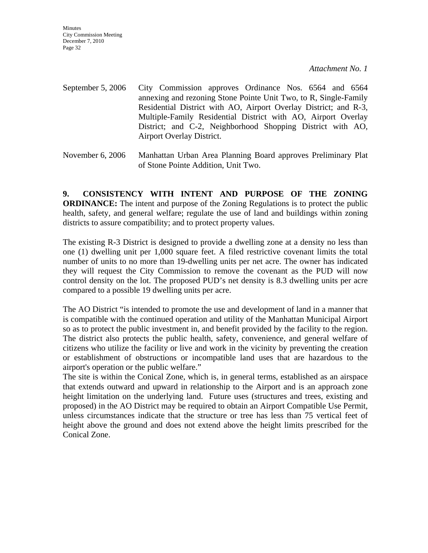**Minutes** City Commission Meeting December 7, 2010 Page 32

*Attachment No. 1*

- September 5, 2006 City Commission approves Ordinance Nos. 6564 and 6564 annexing and rezoning Stone Pointe Unit Two, to R, Single-Family Residential District with AO, Airport Overlay District; and R-3, Multiple-Family Residential District with AO, Airport Overlay District; and C-2, Neighborhood Shopping District with AO, Airport Overlay District.
- November 6, 2006 Manhattan Urban Area Planning Board approves Preliminary Plat of Stone Pointe Addition, Unit Two.

**9. CONSISTENCY WITH INTENT AND PURPOSE OF THE ZONING ORDINANCE:** The intent and purpose of the Zoning Regulations is to protect the public health, safety, and general welfare; regulate the use of land and buildings within zoning districts to assure compatibility; and to protect property values.

The existing R-3 District is designed to provide a dwelling zone at a density no less than one (1) dwelling unit per 1,000 square feet. A filed restrictive covenant limits the total number of units to no more than 19-dwelling units per net acre. The owner has indicated they will request the City Commission to remove the covenant as the PUD will now control density on the lot. The proposed PUD's net density is 8.3 dwelling units per acre compared to a possible 19 dwelling units per acre.

The AO District "is intended to promote the use and development of land in a manner that is compatible with the continued operation and utility of the Manhattan Municipal Airport so as to protect the public investment in, and benefit provided by the facility to the region. The district also protects the public health, safety, convenience, and general welfare of citizens who utilize the facility or live and work in the vicinity by preventing the creation or establishment of obstructions or incompatible land uses that are hazardous to the airport's operation or the public welfare."

The site is within the Conical Zone, which is, in general terms, established as an airspace that extends outward and upward in relationship to the Airport and is an approach zone height limitation on the underlying land. Future uses (structures and trees, existing and proposed) in the AO District may be required to obtain an Airport Compatible Use Permit, unless circumstances indicate that the structure or tree has less than 75 vertical feet of height above the ground and does not extend above the height limits prescribed for the Conical Zone.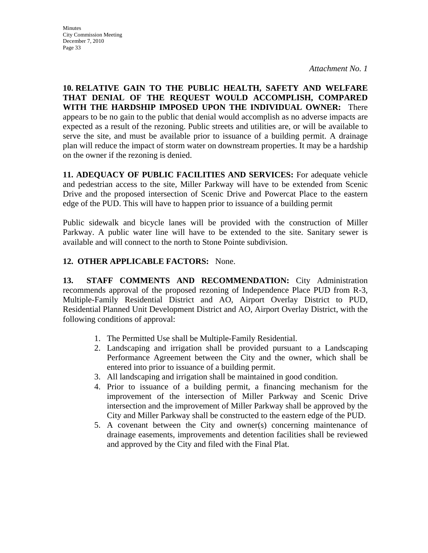**10. RELATIVE GAIN TO THE PUBLIC HEALTH, SAFETY AND WELFARE THAT DENIAL OF THE REQUEST WOULD ACCOMPLISH, COMPARED WITH THE HARDSHIP IMPOSED UPON THE INDIVIDUAL OWNER:** There appears to be no gain to the public that denial would accomplish as no adverse impacts are expected as a result of the rezoning. Public streets and utilities are, or will be available to serve the site, and must be available prior to issuance of a building permit. A drainage plan will reduce the impact of storm water on downstream properties. It may be a hardship on the owner if the rezoning is denied.

**11. ADEQUACY OF PUBLIC FACILITIES AND SERVICES:** For adequate vehicle and pedestrian access to the site, Miller Parkway will have to be extended from Scenic Drive and the proposed intersection of Scenic Drive and Powercat Place to the eastern edge of the PUD. This will have to happen prior to issuance of a building permit

Public sidewalk and bicycle lanes will be provided with the construction of Miller Parkway. A public water line will have to be extended to the site. Sanitary sewer is available and will connect to the north to Stone Pointe subdivision.

### **12. OTHER APPLICABLE FACTORS:** None.

**13. STAFF COMMENTS AND RECOMMENDATION:** City Administration recommends approval of the proposed rezoning of Independence Place PUD from R-3, Multiple-Family Residential District and AO, Airport Overlay District to PUD, Residential Planned Unit Development District and AO, Airport Overlay District, with the following conditions of approval:

- 1. The Permitted Use shall be Multiple-Family Residential.
- 2. Landscaping and irrigation shall be provided pursuant to a Landscaping Performance Agreement between the City and the owner, which shall be entered into prior to issuance of a building permit.
- 3. All landscaping and irrigation shall be maintained in good condition.
- 4. Prior to issuance of a building permit, a financing mechanism for the improvement of the intersection of Miller Parkway and Scenic Drive intersection and the improvement of Miller Parkway shall be approved by the City and Miller Parkway shall be constructed to the eastern edge of the PUD.
- 5. A covenant between the City and owner(s) concerning maintenance of drainage easements, improvements and detention facilities shall be reviewed and approved by the City and filed with the Final Plat.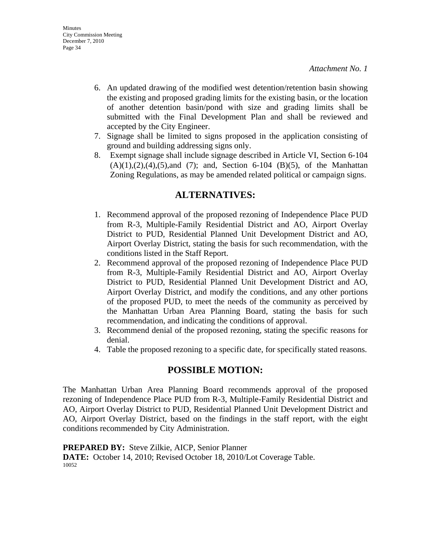- 6. An updated drawing of the modified west detention/retention basin showing the existing and proposed grading limits for the existing basin, or the location of another detention basin/pond with size and grading limits shall be submitted with the Final Development Plan and shall be reviewed and accepted by the City Engineer.
- 7. Signage shall be limited to signs proposed in the application consisting of ground and building addressing signs only.
- 8. Exempt signage shall include signage described in Article VI, Section 6-104  $(A)(1),(2),(4),(5)$ ,and  $(7)$ ; and, Section 6-104  $(B)(5)$ , of the Manhattan Zoning Regulations, as may be amended related political or campaign signs.

## **ALTERNATIVES:**

- 1. Recommend approval of the proposed rezoning of Independence Place PUD from R-3, Multiple-Family Residential District and AO, Airport Overlay District to PUD, Residential Planned Unit Development District and AO, Airport Overlay District, stating the basis for such recommendation, with the conditions listed in the Staff Report.
- 2. Recommend approval of the proposed rezoning of Independence Place PUD from R-3, Multiple-Family Residential District and AO, Airport Overlay District to PUD, Residential Planned Unit Development District and AO, Airport Overlay District, and modify the conditions, and any other portions of the proposed PUD, to meet the needs of the community as perceived by the Manhattan Urban Area Planning Board, stating the basis for such recommendation, and indicating the conditions of approval.
- 3. Recommend denial of the proposed rezoning, stating the specific reasons for denial.
- 4. Table the proposed rezoning to a specific date, for specifically stated reasons.

## **POSSIBLE MOTION:**

The Manhattan Urban Area Planning Board recommends approval of the proposed rezoning of Independence Place PUD from R-3, Multiple-Family Residential District and AO, Airport Overlay District to PUD, Residential Planned Unit Development District and AO, Airport Overlay District, based on the findings in the staff report, with the eight conditions recommended by City Administration.

**PREPARED BY:** Steve Zilkie, AICP, Senior Planner **DATE:** October 14, 2010; Revised October 18, 2010/Lot Coverage Table. 10052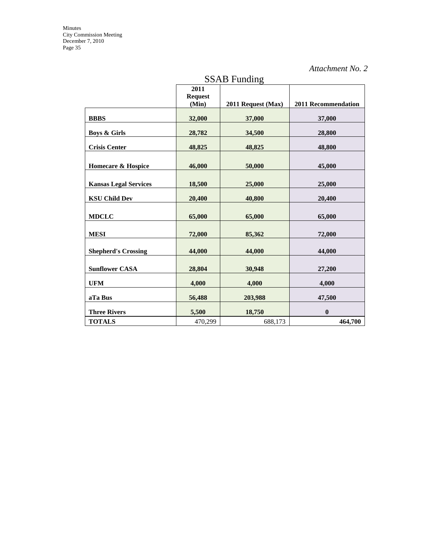| <b>SSAB</b> Funding           |                                     |                    |                            |  |
|-------------------------------|-------------------------------------|--------------------|----------------------------|--|
|                               | $\overline{2011}$<br><b>Request</b> |                    |                            |  |
|                               | (Min)                               | 2011 Request (Max) | <b>2011 Recommendation</b> |  |
| <b>BBBS</b>                   | 32,000                              | 37,000             | 37,000                     |  |
| <b>Boys &amp; Girls</b>       | 28,782                              | 34,500             | 28,800                     |  |
| <b>Crisis Center</b>          | 48,825                              | 48,825             | 48,800                     |  |
| <b>Homecare &amp; Hospice</b> | 46,000                              | 50,000             | 45,000                     |  |
| <b>Kansas Legal Services</b>  | 18,500                              | 25,000             | 25,000                     |  |
| <b>KSU Child Dev</b>          | 20,400                              | 40,800             | 20,400                     |  |
| <b>MDCLC</b>                  | 65,000                              | 65,000             | 65,000                     |  |
| <b>MESI</b>                   | 72,000                              | 85,362             | 72,000                     |  |
| <b>Shepherd's Crossing</b>    | 44,000                              | 44,000             | 44,000                     |  |
| <b>Sunflower CASA</b>         | 28,804                              | 30,948             | 27,200                     |  |
| <b>UFM</b>                    | 4,000                               | 4,000              | 4,000                      |  |
| aTa Bus                       | 56,488                              | 203,988            | 47,500                     |  |
| <b>Three Rivers</b>           | 5,500                               | 18,750             | $\bf{0}$                   |  |
| <b>TOTALS</b>                 | 470,299                             | 688,173            | 464,700                    |  |